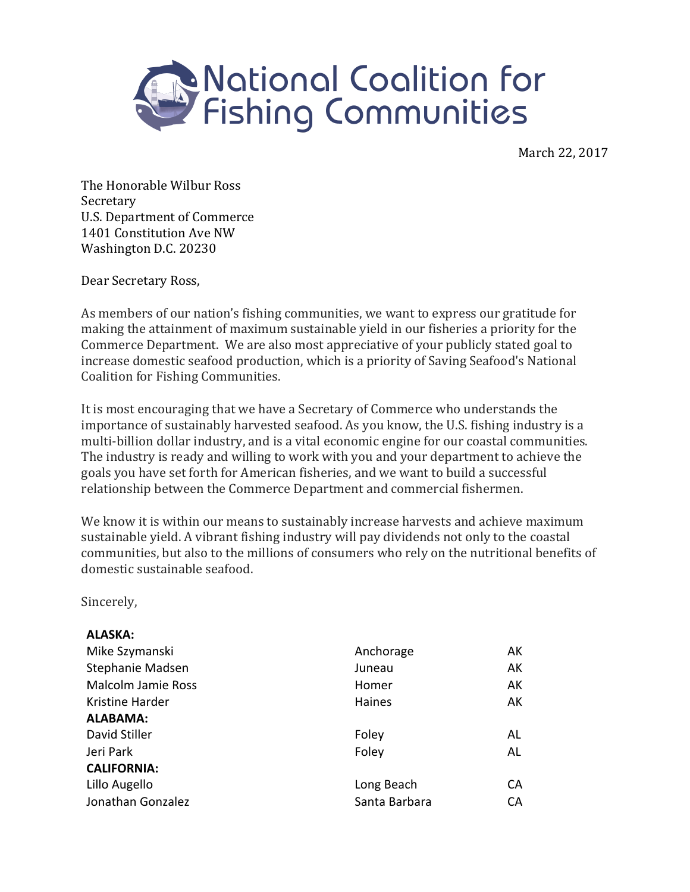

March 22, 2017

The Honorable Wilbur Ross Secretary U.S. Department of Commerce 1401 Constitution Ave NW Washington D.C. 20230

Dear Secretary Ross,

As members of our nation's fishing communities, we want to express our gratitude for making the attainment of maximum sustainable yield in our fisheries a priority for the Commerce Department. We are also most appreciative of your publicly stated goal to increase domestic seafood production, which is a priority of Saving Seafood's National Coalition for Fishing Communities.

It is most encouraging that we have a Secretary of Commerce who understands the importance of sustainably harvested seafood. As you know, the U.S. fishing industry is a multi-billion dollar industry, and is a vital economic engine for our coastal communities. The industry is ready and willing to work with you and your department to achieve the goals you have set forth for American fisheries, and we want to build a successful relationship between the Commerce Department and commercial fishermen.

We know it is within our means to sustainably increase harvests and achieve maximum sustainable yield. A vibrant fishing industry will pay dividends not only to the coastal communities, but also to the millions of consumers who rely on the nutritional benefits of domestic sustainable seafood.

Sincerely, 

| Anchorage     | AK |
|---------------|----|
| Juneau        | AK |
| Homer         | AK |
| Haines        | AK |
|               |    |
| Foley         | AL |
| Foley         | AL |
|               |    |
| Long Beach    | CA |
| Santa Barbara | CА |
|               |    |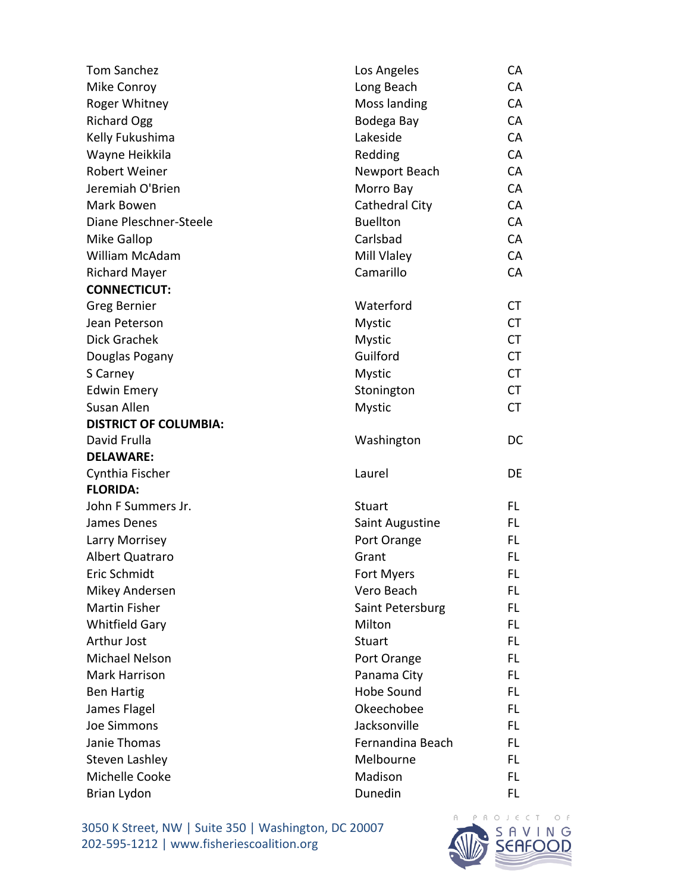| <b>Tom Sanchez</b>           | Los Angeles       | CA        |
|------------------------------|-------------------|-----------|
| Mike Conroy                  | Long Beach        | CA        |
| Roger Whitney                | Moss landing      | CA        |
| <b>Richard Ogg</b>           | Bodega Bay        | CA        |
| Kelly Fukushima              | Lakeside          | CA        |
| Wayne Heikkila               | Redding           | CA        |
| <b>Robert Weiner</b>         | Newport Beach     | CA        |
| Jeremiah O'Brien             | Morro Bay         | CA        |
| Mark Bowen                   | Cathedral City    | CA        |
| Diane Pleschner-Steele       | <b>Buellton</b>   | CA        |
| Mike Gallop                  | Carlsbad          | CA        |
| William McAdam               | Mill Vlaley       | CA        |
| <b>Richard Mayer</b>         | Camarillo         | CA        |
| <b>CONNECTICUT:</b>          |                   |           |
| <b>Greg Bernier</b>          | Waterford         | <b>CT</b> |
| Jean Peterson                | <b>Mystic</b>     | <b>CT</b> |
| Dick Grachek                 | <b>Mystic</b>     | <b>CT</b> |
| Douglas Pogany               | Guilford          | <b>CT</b> |
| S Carney                     | <b>Mystic</b>     | <b>CT</b> |
| <b>Edwin Emery</b>           | Stonington        | <b>CT</b> |
| Susan Allen                  | <b>Mystic</b>     | <b>CT</b> |
| <b>DISTRICT OF COLUMBIA:</b> |                   |           |
| David Frulla                 | Washington        | <b>DC</b> |
| <b>DELAWARE:</b>             |                   |           |
| Cynthia Fischer              | Laurel            | DE        |
| <b>FLORIDA:</b>              |                   |           |
| John F Summers Jr.           | <b>Stuart</b>     | FL.       |
| James Denes                  | Saint Augustine   | FL.       |
| Larry Morrisey               | Port Orange       | FL.       |
| Albert Quatraro              | Grant             | FL        |
| Eric Schmidt                 | Fort Myers        | <b>FL</b> |
| Mikey Andersen               | Vero Beach        | FL        |
| Martin Fisher                | Saint Petersburg  | FL.       |
| <b>Whitfield Gary</b>        | Milton            | FL.       |
| Arthur Jost                  | <b>Stuart</b>     | FL.       |
| Michael Nelson               | Port Orange       | FL.       |
| Mark Harrison                | Panama City       | FL.       |
| <b>Ben Hartig</b>            | <b>Hobe Sound</b> | FL.       |
| James Flagel                 | Okeechobee        | FL.       |
| <b>Joe Simmons</b>           | Jacksonville      | FL.       |
| Janie Thomas                 | Fernandina Beach  | FL.       |
| <b>Steven Lashley</b>        | Melbourne         | FL.       |
| Michelle Cooke               | Madison           | FL.       |
| Brian Lydon                  | Dunedin           | FL        |

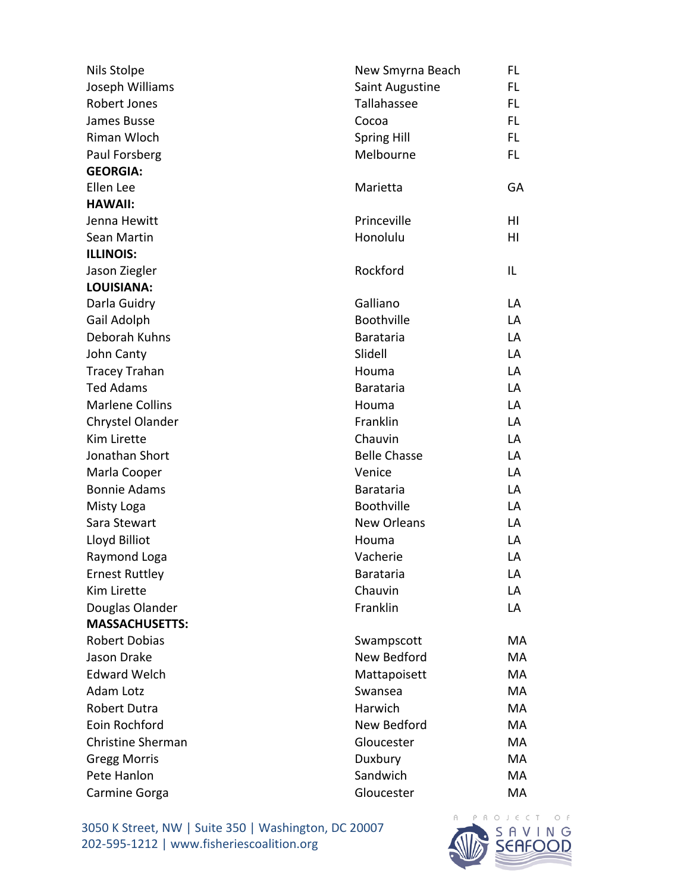| Nils Stolpe              | New Smyrna Beach    | FL. |
|--------------------------|---------------------|-----|
| Joseph Williams          | Saint Augustine     | FL  |
| Robert Jones             | Tallahassee         | FL. |
| James Busse              | Cocoa               | FL. |
| Riman Wloch              | <b>Spring Hill</b>  | FL. |
| Paul Forsberg            | Melbourne           | FL. |
| <b>GEORGIA:</b>          |                     |     |
| Ellen Lee                | Marietta            | GA  |
| <b>HAWAII:</b>           |                     |     |
| Jenna Hewitt             | Princeville         | ΗI  |
| Sean Martin              | Honolulu            | HI  |
| <b>ILLINOIS:</b>         |                     |     |
| Jason Ziegler            | Rockford            | IL  |
| <b>LOUISIANA:</b>        |                     |     |
| Darla Guidry             | Galliano            | LA  |
| Gail Adolph              | Boothville          | LA  |
| Deborah Kuhns            | <b>Barataria</b>    | LA  |
| John Canty               | Slidell             | LA  |
| <b>Tracey Trahan</b>     | Houma               | LA  |
| <b>Ted Adams</b>         | <b>Barataria</b>    | LA  |
| <b>Marlene Collins</b>   | Houma               | LA  |
| Chrystel Olander         | Franklin            | LA  |
| Kim Lirette              | Chauvin             | LA  |
| Jonathan Short           | <b>Belle Chasse</b> | LA  |
| Marla Cooper             | Venice              | LA  |
| <b>Bonnie Adams</b>      | <b>Barataria</b>    | LA  |
| Misty Loga               | <b>Boothville</b>   | LA  |
| Sara Stewart             | <b>New Orleans</b>  | LA  |
| Lloyd Billiot            | Houma               | LA  |
| Raymond Loga             | Vacherie            | LA  |
| <b>Ernest Ruttley</b>    | <b>Barataria</b>    | LA  |
| Kim Lirette              | Chauvin             | LA  |
| Douglas Olander          | Franklin            | LA  |
| <b>MASSACHUSETTS:</b>    |                     |     |
| <b>Robert Dobias</b>     | Swampscott          | MA  |
| Jason Drake              | New Bedford         | MA  |
| <b>Edward Welch</b>      | Mattapoisett        | MA  |
| Adam Lotz                | Swansea             | MA  |
| <b>Robert Dutra</b>      | Harwich             | MA  |
| Eoin Rochford            | New Bedford         | MA  |
| <b>Christine Sherman</b> | Gloucester          | MA  |
| <b>Gregg Morris</b>      | Duxbury             | МA  |
| Pete Hanlon              | Sandwich            | MA  |
| Carmine Gorga            | Gloucester          | MA  |

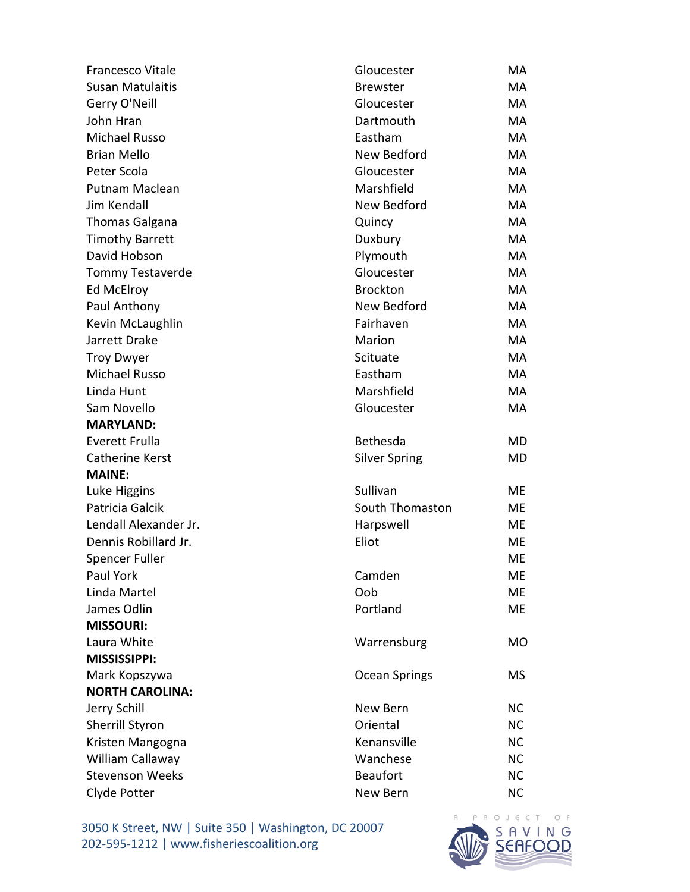| <b>Francesco Vitale</b> | Gloucester           | <b>MA</b> |
|-------------------------|----------------------|-----------|
| <b>Susan Matulaitis</b> | <b>Brewster</b>      | <b>MA</b> |
| Gerry O'Neill           | Gloucester           | <b>MA</b> |
| John Hran               | Dartmouth            | <b>MA</b> |
| <b>Michael Russo</b>    | Eastham              | MA        |
| <b>Brian Mello</b>      | New Bedford          | MA        |
| Peter Scola             | Gloucester           | MA        |
| Putnam Maclean          | Marshfield           | MA        |
| <b>Jim Kendall</b>      | New Bedford          | MA        |
| <b>Thomas Galgana</b>   | Quincy               | MA        |
| <b>Timothy Barrett</b>  | Duxbury              | MA        |
| David Hobson            | Plymouth             | <b>MA</b> |
| <b>Tommy Testaverde</b> | Gloucester           | MA        |
| Ed McElroy              | <b>Brockton</b>      | MA        |
| Paul Anthony            | New Bedford          | MA        |
| Kevin McLaughlin        | Fairhaven            | MA        |
| Jarrett Drake           | Marion               | <b>MA</b> |
| <b>Troy Dwyer</b>       | Scituate             | <b>MA</b> |
| <b>Michael Russo</b>    | Eastham              | <b>MA</b> |
| Linda Hunt              | Marshfield           | MA        |
| Sam Novello             | Gloucester           | <b>MA</b> |
| <b>MARYLAND:</b>        |                      |           |
| <b>Everett Frulla</b>   | Bethesda             | MD        |
| <b>Catherine Kerst</b>  | <b>Silver Spring</b> | MD        |
| <b>MAINE:</b>           |                      |           |
| Luke Higgins            | Sullivan             | ME        |
| Patricia Galcik         | South Thomaston      | ME        |
| Lendall Alexander Jr.   | Harpswell            | ME        |
| Dennis Robillard Jr.    | Eliot                | ME        |
| <b>Spencer Fuller</b>   |                      | ME        |
| Paul York               | Camden               | ME        |
| Linda Martel            | Oob                  | ME        |
| James Odlin             | Portland             | <b>ME</b> |
| <b>MISSOURI:</b>        |                      |           |
| Laura White             | Warrensburg          | <b>MO</b> |
| <b>MISSISSIPPI:</b>     |                      |           |
| Mark Kopszywa           | <b>Ocean Springs</b> | MS        |
| <b>NORTH CAROLINA:</b>  |                      |           |
| Jerry Schill            | New Bern             | <b>NC</b> |
| <b>Sherrill Styron</b>  | Oriental             | <b>NC</b> |
| Kristen Mangogna        | Kenansville          | <b>NC</b> |
| William Callaway        | Wanchese             | <b>NC</b> |
| <b>Stevenson Weeks</b>  | <b>Beaufort</b>      | <b>NC</b> |
| Clyde Potter            | New Bern             | <b>NC</b> |

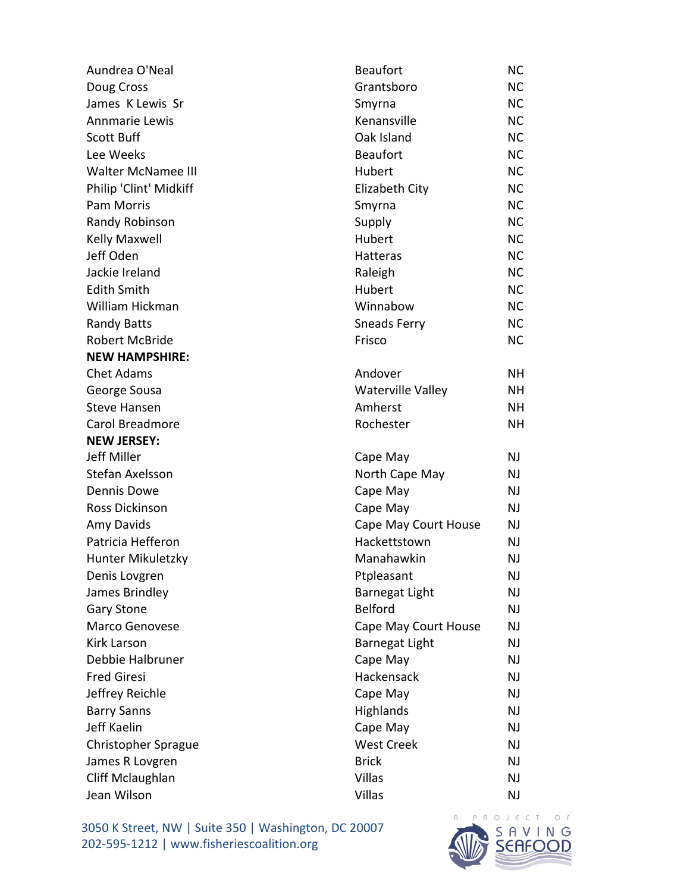| Aundrea O'Neal             | <b>Beaufort</b>          | <b>NC</b> |
|----------------------------|--------------------------|-----------|
| Doug Cross                 | Grantsboro               | <b>NC</b> |
| James K Lewis Sr           | Smyrna                   | <b>NC</b> |
| Annmarie Lewis             | Kenansville              | <b>NC</b> |
| <b>Scott Buff</b>          | Oak Island               | <b>NC</b> |
| Lee Weeks                  | <b>Beaufort</b>          | <b>NC</b> |
| <b>Walter McNamee III</b>  | Hubert                   | <b>NC</b> |
| Philip 'Clint' Midkiff     | Elizabeth City           | <b>NC</b> |
| Pam Morris                 | Smyrna                   | <b>NC</b> |
| Randy Robinson             | Supply                   | <b>NC</b> |
| <b>Kelly Maxwell</b>       | Hubert                   | <b>NC</b> |
| Jeff Oden                  | Hatteras                 | <b>NC</b> |
| Jackie Ireland             | Raleigh                  | <b>NC</b> |
| <b>Edith Smith</b>         | Hubert                   | <b>NC</b> |
| William Hickman            | Winnabow                 | <b>NC</b> |
| <b>Randy Batts</b>         | <b>Sneads Ferry</b>      | <b>NC</b> |
| <b>Robert McBride</b>      | Frisco                   | <b>NC</b> |
| <b>NEW HAMPSHIRE:</b>      |                          |           |
| <b>Chet Adams</b>          | Andover                  | NH.       |
| George Sousa               | <b>Waterville Valley</b> | NΗ        |
| <b>Steve Hansen</b>        | Amherst                  | NH.       |
| Carol Breadmore            | Rochester                | <b>NH</b> |
| <b>NEW JERSEY:</b>         |                          |           |
| Jeff Miller                | Cape May                 | NJ        |
| Stefan Axelsson            | North Cape May           | NJ        |
| <b>Dennis Dowe</b>         | Cape May                 | NJ.       |
| Ross Dickinson             | Cape May                 | NJ        |
| Amy Davids                 | Cape May Court House     | <b>NJ</b> |
| Patricia Hefferon          | Hackettstown             | <b>NJ</b> |
| Hunter Mikuletzky          | Manahawkin               | NJ        |
| Denis Lovgren              | Ptpleasant               | NJ        |
| James Brindley             | <b>Barnegat Light</b>    | <b>NJ</b> |
| <b>Gary Stone</b>          | <b>Belford</b>           | NJ        |
| Marco Genovese             | Cape May Court House     | <b>NJ</b> |
| <b>Kirk Larson</b>         | <b>Barnegat Light</b>    | <b>NJ</b> |
| Debbie Halbruner           | Cape May                 | NJ.       |
| <b>Fred Giresi</b>         | Hackensack               | NJ        |
| Jeffrey Reichle            | Cape May                 | <b>NJ</b> |
| <b>Barry Sanns</b>         | Highlands                | NJ        |
| Jeff Kaelin                | Cape May                 | NJ.       |
| <b>Christopher Sprague</b> | <b>West Creek</b>        | NJ        |
| James R Lovgren            | <b>Brick</b>             | NJ        |
| Cliff Mclaughlan           | <b>Villas</b>            | NJ        |
| Jean Wilson                | <b>Villas</b>            | <b>NJ</b> |

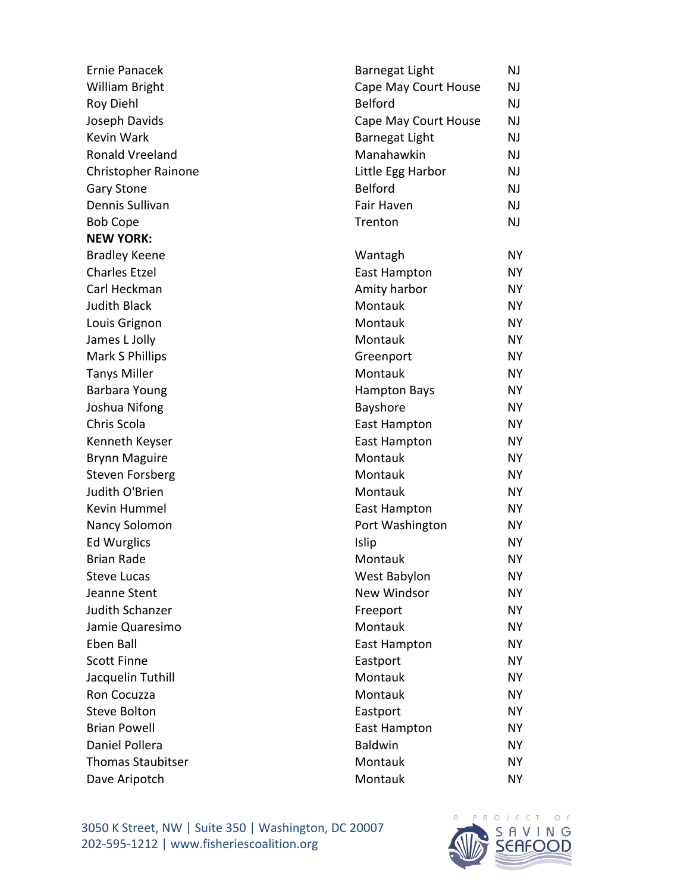| <b>Ernie Panacek</b>     | <b>Barnegat Light</b> | NJ        |
|--------------------------|-----------------------|-----------|
| William Bright           | Cape May Court House  | NJ        |
| <b>Roy Diehl</b>         | <b>Belford</b>        | NJ.       |
| Joseph Davids            | Cape May Court House  | NJ        |
| <b>Kevin Wark</b>        | <b>Barnegat Light</b> | NJ.       |
| Ronald Vreeland          | Manahawkin            | NJ        |
| Christopher Rainone      | Little Egg Harbor     | NJ        |
| <b>Gary Stone</b>        | <b>Belford</b>        | NJ        |
| Dennis Sullivan          | Fair Haven            | NJ.       |
| <b>Bob Cope</b>          | Trenton               | NJ        |
| <b>NEW YORK:</b>         |                       |           |
| <b>Bradley Keene</b>     | Wantagh               | <b>NY</b> |
| <b>Charles Etzel</b>     | East Hampton          | NΥ        |
| Carl Heckman             | Amity harbor          | <b>NY</b> |
| <b>Judith Black</b>      | Montauk               | <b>NY</b> |
| Louis Grignon            | Montauk               | <b>NY</b> |
| James L Jolly            | Montauk               | <b>NY</b> |
| Mark S Phillips          | Greenport             | <b>NY</b> |
| <b>Tanys Miller</b>      | Montauk               | <b>NY</b> |
| Barbara Young            | <b>Hampton Bays</b>   | <b>NY</b> |
| Joshua Nifong            | Bayshore              | <b>NY</b> |
| Chris Scola              | East Hampton          | <b>NY</b> |
| Kenneth Keyser           | East Hampton          | <b>NY</b> |
| <b>Brynn Maguire</b>     | Montauk               | <b>NY</b> |
| <b>Steven Forsberg</b>   | Montauk               | <b>NY</b> |
| Judith O'Brien           | Montauk               | <b>NY</b> |
| Kevin Hummel             | <b>East Hampton</b>   | <b>NY</b> |
| Nancy Solomon            | Port Washington       | <b>NY</b> |
| <b>Ed Wurglics</b>       | Islip                 | <b>NY</b> |
| <b>Brian Rade</b>        | Montauk               | <b>NY</b> |
| <b>Steve Lucas</b>       | West Babylon          | NΥ        |
| Jeanne Stent             | New Windsor           | <b>NY</b> |
| Judith Schanzer          | Freeport              | <b>NY</b> |
| Jamie Quaresimo          | Montauk               | <b>NY</b> |
| Eben Ball                | East Hampton          | NΥ        |
| <b>Scott Finne</b>       | Eastport              | <b>NY</b> |
| Jacquelin Tuthill        | Montauk               | <b>NY</b> |
| Ron Cocuzza              | Montauk               | <b>NY</b> |
| <b>Steve Bolton</b>      | Eastport              | NΥ        |
| <b>Brian Powell</b>      | East Hampton          | <b>NY</b> |
| Daniel Pollera           | Baldwin               | <b>NY</b> |
| <b>Thomas Staubitser</b> | Montauk               | <b>NY</b> |
| Dave Aripotch            | Montauk               | NΥ        |

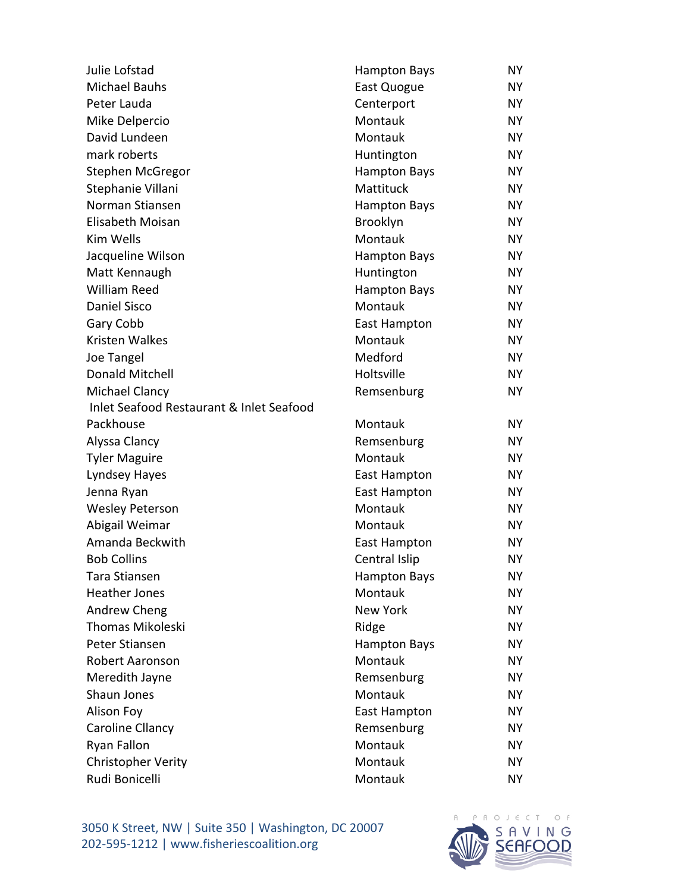| Julie Lofstad                            | <b>Hampton Bays</b> | NY        |
|------------------------------------------|---------------------|-----------|
| <b>Michael Bauhs</b>                     | East Quogue         | NY        |
| Peter Lauda                              | Centerport          | NY        |
| Mike Delpercio                           | Montauk             | NY        |
| David Lundeen                            | Montauk             | NY        |
| mark roberts                             | Huntington          | NY        |
| Stephen McGregor                         | <b>Hampton Bays</b> | NY        |
| Stephanie Villani                        | Mattituck           | NY        |
| Norman Stiansen                          | <b>Hampton Bays</b> | NY.       |
| Elisabeth Moisan                         | Brooklyn            | NY        |
| Kim Wells                                | Montauk             | NY        |
| Jacqueline Wilson                        | <b>Hampton Bays</b> | NY        |
| Matt Kennaugh                            | Huntington          | NY.       |
| <b>William Reed</b>                      | <b>Hampton Bays</b> | NY        |
| <b>Daniel Sisco</b>                      | Montauk             | NY        |
| Gary Cobb                                | East Hampton        | NY        |
| <b>Kristen Walkes</b>                    | Montauk             | NY.       |
| Joe Tangel                               | Medford             | NY        |
| <b>Donald Mitchell</b>                   | Holtsville          | NY        |
| Michael Clancy                           | Remsenburg          | NY        |
| Inlet Seafood Restaurant & Inlet Seafood |                     |           |
| Packhouse                                | Montauk             | NY.       |
| Alyssa Clancy                            | Remsenburg          | NY        |
| <b>Tyler Maguire</b>                     | Montauk             | NY        |
| Lyndsey Hayes                            | East Hampton        | NY.       |
| Jenna Ryan                               | <b>East Hampton</b> | NY        |
| <b>Wesley Peterson</b>                   | Montauk             | NY        |
| Abigail Weimar                           | Montauk             | NY        |
| Amanda Beckwith                          | East Hampton        | NY        |
| <b>Bob Collins</b>                       | Central Islip       | <b>NY</b> |
| Tara Stiansen                            | <b>Hampton Bays</b> | NY.       |
| <b>Heather Jones</b>                     | Montauk             | NY        |
| Andrew Cheng                             | <b>New York</b>     | NY        |
| <b>Thomas Mikoleski</b>                  | Ridge               | NY        |
| Peter Stiansen                           | <b>Hampton Bays</b> | NY        |
| Robert Aaronson                          | Montauk             | NY        |
| Meredith Jayne                           | Remsenburg          | NY        |
| Shaun Jones                              | Montauk             | NY        |
| Alison Foy                               | East Hampton        | NY.       |
| Caroline Cllancy                         | Remsenburg          | NY        |
| Ryan Fallon                              | Montauk             | NY        |
| <b>Christopher Verity</b>                | Montauk             | NY        |
| Rudi Bonicelli                           | Montauk             | NΥ        |

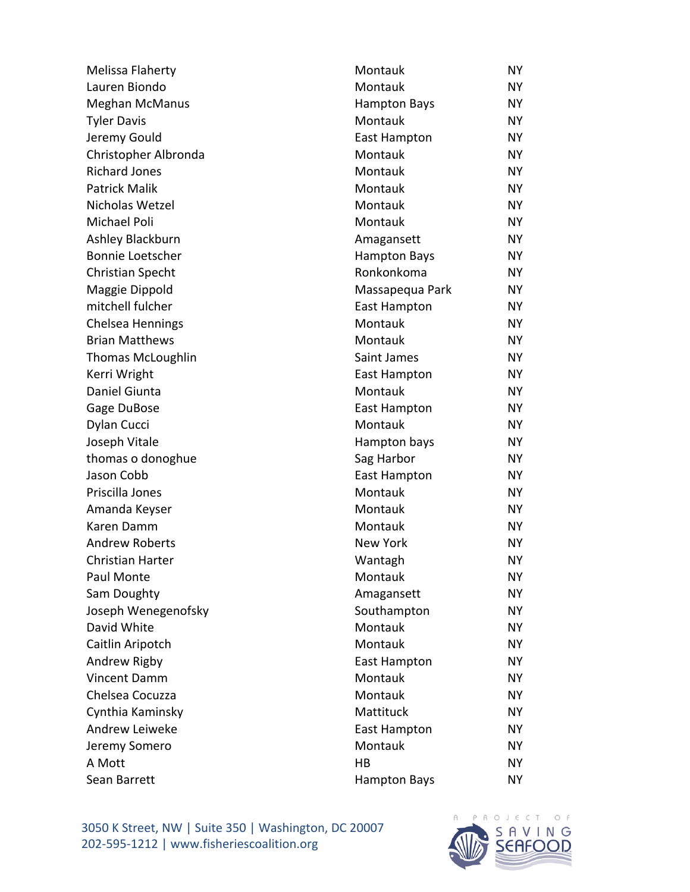| Melissa Flaherty         | Montauk             | NY        |
|--------------------------|---------------------|-----------|
| Lauren Biondo            | Montauk             | NY        |
| <b>Meghan McManus</b>    | <b>Hampton Bays</b> | NY.       |
| <b>Tyler Davis</b>       | Montauk             | <b>NY</b> |
| Jeremy Gould             | <b>East Hampton</b> | NY.       |
| Christopher Albronda     | Montauk             | NY        |
| <b>Richard Jones</b>     | Montauk             | NY        |
| <b>Patrick Malik</b>     | Montauk             | <b>NY</b> |
| Nicholas Wetzel          | Montauk             | NY.       |
| Michael Poli             | Montauk             | NY        |
| Ashley Blackburn         | Amagansett          | NY.       |
| <b>Bonnie Loetscher</b>  | <b>Hampton Bays</b> | NY        |
| <b>Christian Specht</b>  | Ronkonkoma          | NY.       |
| Maggie Dippold           | Massapequa Park     | NY.       |
| mitchell fulcher         | <b>East Hampton</b> | NY        |
| Chelsea Hennings         | Montauk             | <b>NY</b> |
| <b>Brian Matthews</b>    | Montauk             | NY.       |
| <b>Thomas McLoughlin</b> | Saint James         | NY        |
| Kerri Wright             | East Hampton        | NY        |
| Daniel Giunta            | Montauk             | NY        |
| Gage DuBose              | East Hampton        | NY.       |
| Dylan Cucci              | Montauk             | NY        |
| Joseph Vitale            | Hampton bays        | NY        |
| thomas o donoghue        | Sag Harbor          | <b>NY</b> |
| Jason Cobb               | East Hampton        | NY.       |
| Priscilla Jones          | Montauk             | NY.       |
| Amanda Keyser            | Montauk             | NY        |
| Karen Damm               | Montauk             | NY        |
| <b>Andrew Roberts</b>    | New York            | NY.       |
| <b>Christian Harter</b>  | Wantagh             | <b>NY</b> |
| Paul Monte               | Montauk             | NY        |
| Sam Doughty              | Amagansett          | NY        |
| Joseph Wenegenofsky      | Southampton         | NY        |
| David White              | Montauk             | NY        |
| Caitlin Aripotch         | Montauk             | NY.       |
| Andrew Rigby             | East Hampton        | NY        |
| <b>Vincent Damm</b>      | Montauk             | NY        |
| Chelsea Cocuzza          | Montauk             | <b>NY</b> |
| Cynthia Kaminsky         | Mattituck           | NY.       |
| Andrew Leiweke           | East Hampton        | NY        |
| Jeremy Somero            | Montauk             | NY.       |
| A Mott                   | HB                  | NΥ        |
| Sean Barrett             | <b>Hampton Bays</b> | NY.       |

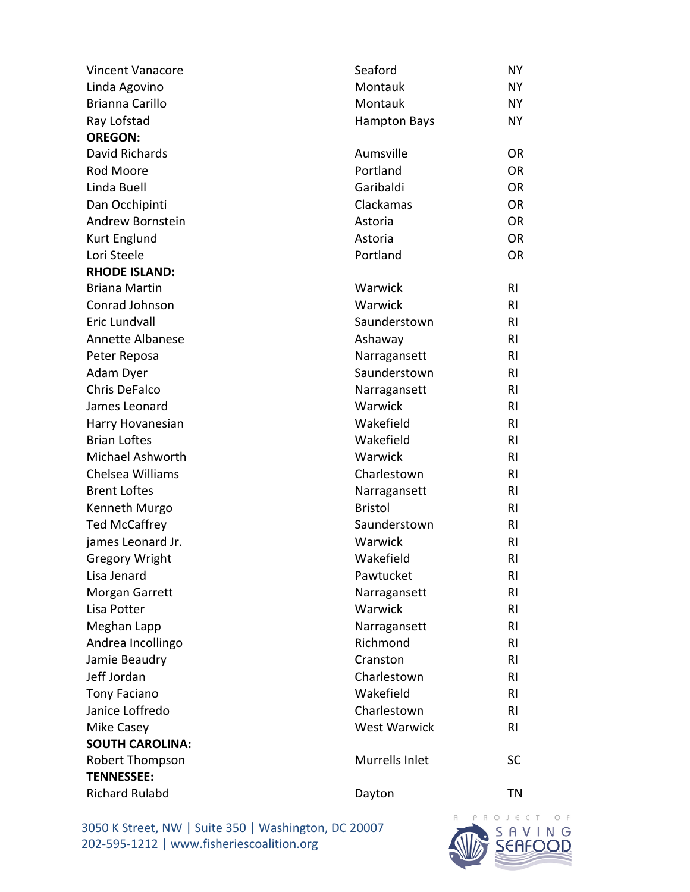| <b>Vincent Vanacore</b> | Seaford             | NY        |
|-------------------------|---------------------|-----------|
| Linda Agovino           | Montauk             | NY        |
| <b>Brianna Carillo</b>  | Montauk             | NY        |
| Ray Lofstad             | <b>Hampton Bays</b> | NY        |
| <b>OREGON:</b>          |                     |           |
| David Richards          | Aumsville           | <b>OR</b> |
| Rod Moore               | Portland            | <b>OR</b> |
| Linda Buell             | Garibaldi           | <b>OR</b> |
| Dan Occhipinti          | Clackamas           | <b>OR</b> |
| Andrew Bornstein        | Astoria             | <b>OR</b> |
| Kurt Englund            | Astoria             | <b>OR</b> |
| Lori Steele             | Portland            | <b>OR</b> |
| <b>RHODE ISLAND:</b>    |                     |           |
| <b>Briana Martin</b>    | Warwick             | <b>RI</b> |
| Conrad Johnson          | Warwick             | <b>RI</b> |
| Eric Lundvall           | Saunderstown        | RI        |
| <b>Annette Albanese</b> | Ashaway             | <b>RI</b> |
| Peter Reposa            | Narragansett        | RI        |
| Adam Dyer               | Saunderstown        | RI        |
| <b>Chris DeFalco</b>    | Narragansett        | RI        |
| James Leonard           | Warwick             | <b>RI</b> |
| Harry Hovanesian        | Wakefield           | RI        |
| <b>Brian Loftes</b>     | Wakefield           | <b>RI</b> |
| Michael Ashworth        | Warwick             | <b>RI</b> |
| Chelsea Williams        | Charlestown         | <b>RI</b> |
| <b>Brent Loftes</b>     | Narragansett        | RI        |
| Kenneth Murgo           | <b>Bristol</b>      | RI        |
| <b>Ted McCaffrey</b>    | Saunderstown        | RI        |
| james Leonard Jr.       | Warwick             | <b>RI</b> |
| <b>Gregory Wright</b>   | Wakefield           | RI        |
| Lisa Jenard             | Pawtucket           | RI        |
| Morgan Garrett          | Narragansett        | RI        |
| Lisa Potter             | Warwick             | RI        |
| Meghan Lapp             | Narragansett        | RI        |
| Andrea Incollingo       | Richmond            | RI        |
| Jamie Beaudry           | Cranston            | RI        |
| Jeff Jordan             | Charlestown         | <b>RI</b> |
| <b>Tony Faciano</b>     | Wakefield           | RI        |
| Janice Loffredo         | Charlestown         | RI        |
| Mike Casey              | <b>West Warwick</b> | RI        |
| <b>SOUTH CAROLINA:</b>  |                     |           |
| Robert Thompson         | Murrells Inlet      | <b>SC</b> |
| <b>TENNESSEE:</b>       |                     |           |
| <b>Richard Rulabd</b>   | Dayton              | ΤN        |
|                         |                     |           |